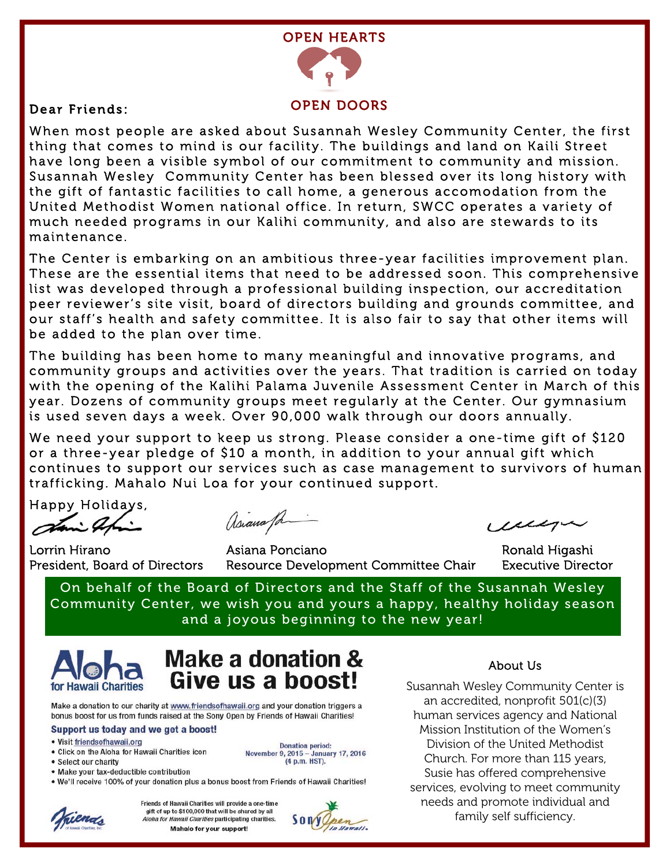

Dear Friends:

#### OPEN DOORS

When most people are asked about Susannah Wesley Community Center, the first thing that comes to mind is our facility. The buildings and land on Kaili Street have long been a visible symbol of our commitment to community and mission. Susannah Wesley Community Center has been blessed over its long history with the gift of fantastic facilities to call home, a generous accomodation from the United Methodist Women national office. In return, SWCC operates a variety of much needed programs in our Kalihi community, and also are stewards to its maintenance.

The Center is embarking on an ambitious three-year facilities improvement plan. These are the essential items that need to be addressed soon. This comprehensive list was developed through a professional building inspection, our accreditation peer reviewer's site visit, board of directors building and grounds committee, and our staff's health and safety committee. It is also fair to say that other items will be added to the plan over time.

The building has been home to many meaningful and innovative programs, and community groups and activities over the years. That tradition is carried on today with the opening of the Kalihi Palama Juvenile Assessment Center in March of this year. Dozens of community groups meet regularly at the Center. Our gymnasium is used seven days a week. Over 90,000 walk through our doors annually.

We need your support to keep us strong. Please consider a one-time gift of \$120 or a three-year pledge of \$10 a month, in addition to your annual gift which continues to support our services such as case management to survivors of human trafficking. Mahalo Nui Loa for your continued support.

Happy Holidays,

 $\overline{a}$ 

asianafa

celli

Lorrin Hirano Asiana Ponciano Ronald Higashi President, Board of Directors Resource Development Committee Chair Executive Director

On behalf of the Board of Directors and the Staff of the Susannah Wesley Community Center, we wish you and yours a happy, healthy holiday season and a joyous beginning to the new year!



### Make a donation & Give us a boost!

Make a donation to our charity at www.friendsofhawaii.org and your donation triggers a bonus boost for us from funds raised at the Sony Open by Friends of Hawaii Charities!

#### Support us today and we get a boost!

- · Visit friendsofhawaii.org
- Click on the Aloha for Hawaii Charities icon • Select our charity
- 
- 



- Make your tax-deductible contribution
- . We'll receive 100% of your donation plus a bonus boost from Friends of Hawaii Charities!



Friends of Hawaii Charities will provide a one-time gift of up to \$100,000 that will be shared by all Aloha for Hawaii Charities participating charities. Mahalo for your support!



#### About Us

Susannah Wesley Community Center is an accredited, nonprofit 501(c)(3) human services agency and National Mission Institution of the Women's Division of the United Methodist Church. For more than 115 years, Susie has offered comprehensive services, evolving to meet community needs and promote individual and family self sufficiency.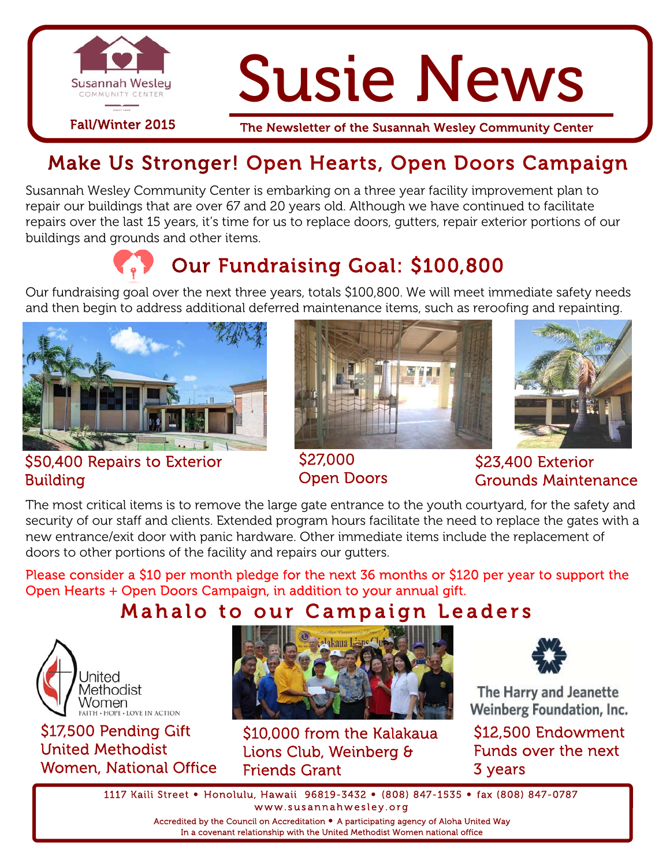

# Susie News

Fall/Winter 2015 The Newsletter of the Susannah Wesley Community Center

# Make Us Stronger! Open Hearts, Open Doors Campaign

Susannah Wesley Community Center is embarking on a three year facility improvement plan to repair our buildings that are over 67 and 20 years old. Although we have continued to facilitate repairs over the last 15 years, it's time for us to replace doors, gutters, repair exterior portions of our buildings and grounds and other items.

# Our Fundraising Goal: \$100,800

Our fundraising goal over the next three years, totals \$100,800. We will meet immediate safety needs and then begin to address additional deferred maintenance items, such as reroofing and repainting.



#### \$50,400 Repairs to Exterior Building





\$27,000 Open Doors

\$23,400 Exterior Grounds Maintenance

The most critical items is to remove the large gate entrance to the youth courtyard, for the safety and security of our staff and clients. Extended program hours facilitate the need to replace the gates with a new entrance/exit door with panic hardware. Other immediate items include the replacement of doors to other portions of the facility and repairs our gutters.

Please consider a \$10 per month pledge for the next 36 months or \$120 per year to support the Open Hearts + Open Doors Campaign, in addition to your annual gift.

## Mahalo to our Campaign Leaders



\$17,500 Pending Gift United Methodist Women, National Office



\$10,000 from the Kalakaua Lions Club, Weinberg & Friends Grant



The Harry and Jeanette Weinberg Foundation, Inc.

\$12,500 Endowment Funds over the next 3 years

1117 Kaili Street • Honolulu, Hawaii 96819-3432 • (808) 847-1535 • fax (808) 847-0787 www.susannahwesley.org

> Accredited by the Council on Accreditation • A participating agency of Aloha United Way In a covenant relationship with the United Methodist Women national office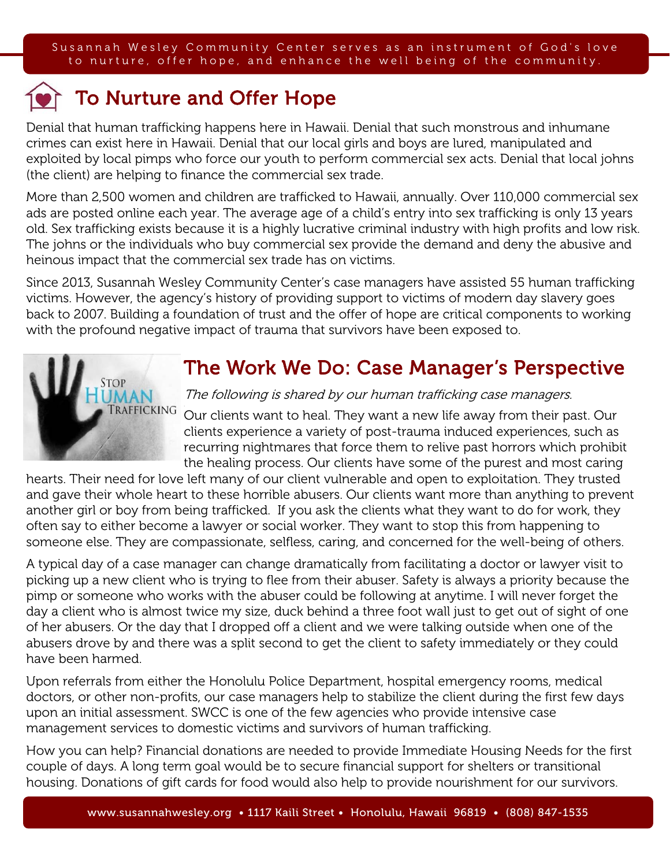# To Nurture and Offer Hope

Denial that human trafficking happens here in Hawaii. Denial that such monstrous and inhumane crimes can exist here in Hawaii. Denial that our local girls and boys are lured, manipulated and exploited by local pimps who force our youth to perform commercial sex acts. Denial that local johns (the client) are helping to finance the commercial sex trade.

More than 2,500 women and children are trafficked to Hawaii, annually. Over 110,000 commercial sex ads are posted online each year. The average age of a child's entry into sex trafficking is only 13 years old. Sex trafficking exists because it is a highly lucrative criminal industry with high profits and low risk. The johns or the individuals who buy commercial sex provide the demand and deny the abusive and heinous impact that the commercial sex trade has on victims.

Since 2013, Susannah Wesley Community Center's case managers have assisted 55 human trafficking victims. However, the agency's history of providing support to victims of modern day slavery goes back to 2007. Building a foundation of trust and the offer of hope are critical components to working with the profound negative impact of trauma that survivors have been exposed to.



### The Work We Do: Case Manager's Perspective

The following is shared by our human trafficking case managers.

Our clients want to heal. They want a new life away from their past. Our clients experience a variety of post-trauma induced experiences, such as recurring nightmares that force them to relive past horrors which prohibit the healing process. Our clients have some of the purest and most caring

hearts. Their need for love left many of our client vulnerable and open to exploitation. They trusted and gave their whole heart to these horrible abusers. Our clients want more than anything to prevent another girl or boy from being trafficked. If you ask the clients what they want to do for work, they often say to either become a lawyer or social worker. They want to stop this from happening to someone else. They are compassionate, selfless, caring, and concerned for the well-being of others.

A typical day of a case manager can change dramatically from facilitating a doctor or lawyer visit to picking up a new client who is trying to flee from their abuser. Safety is always a priority because the pimp or someone who works with the abuser could be following at anytime. I will never forget the day a client who is almost twice my size, duck behind a three foot wall just to get out of sight of one of her abusers. Or the day that I dropped off a client and we were talking outside when one of the abusers drove by and there was a split second to get the client to safety immediately or they could have been harmed.

Upon referrals from either the Honolulu Police Department, hospital emergency rooms, medical doctors, or other non-profits, our case managers help to stabilize the client during the first few days upon an initial assessment. SWCC is one of the few agencies who provide intensive case management services to domestic victims and survivors of human trafficking.

How you can help? Financial donations are needed to provide Immediate Housing Needs for the first couple of days. A long term goal would be to secure financial support for shelters or transitional housing. Donations of gift cards for food would also help to provide nourishment for our survivors.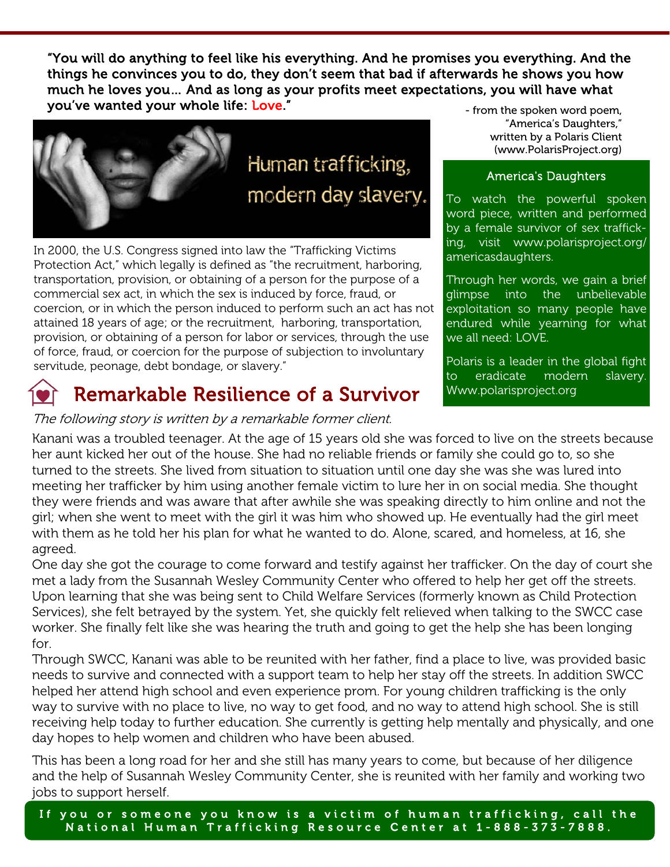"You will do anything to feel like his everything. And he promises you everything. And the things he convinces you to do, they don't seem that bad if afterwards he shows you how much he loves you… And as long as your profits meet expectations, you will have what you've wanted your whole life: Love."



In 2000, the U.S. Congress signed into law the "Trafficking Victims Protection Act," which legally is defined as "the recruitment, harboring, transportation, provision, or obtaining of a person for the purpose of a commercial sex act, in which the sex is induced by force, fraud, or coercion, or in which the person induced to perform such an act has not attained 18 years of age; or the recruitment, harboring, transportation, provision, or obtaining of a person for labor or services, through the use of force, fraud, or coercion for the purpose of subjection to involuntary servitude, peonage, debt bondage, or slavery."

# Remarkable Resilience of a Survivor

The following story is written by a remarkable former client.

"America's Daughters," written by a Polaris Client (www.PolarisProject.org)

#### America's Daughters

To watch the powerful spoken word piece, written and performed by a female survivor of sex trafficking, visit www.polarisproject.org/ americasdaughters.

Through her words, we gain a brief glimpse into the unbelievable exploitation so many people have endured while yearning for what we all need: LOVE.

Polaris is a leader in the global fight to eradicate modern slavery. Www.polarisproject.org

Kanani was a troubled teenager. At the age of 15 years old she was forced to live on the streets because her aunt kicked her out of the house. She had no reliable friends or family she could go to, so she turned to the streets. She lived from situation to situation until one day she was she was lured into meeting her trafficker by him using another female victim to lure her in on social media. She thought they were friends and was aware that after awhile she was speaking directly to him online and not the girl; when she went to meet with the girl it was him who showed up. He eventually had the girl meet with them as he told her his plan for what he wanted to do. Alone, scared, and homeless, at 16, she agreed.

One day she got the courage to come forward and testify against her trafficker. On the day of court she met a lady from the Susannah Wesley Community Center who offered to help her get off the streets. Upon learning that she was being sent to Child Welfare Services (formerly known as Child Protection Services), she felt betrayed by the system. Yet, she quickly felt relieved when talking to the SWCC case worker. She finally felt like she was hearing the truth and going to get the help she has been longing for.

Through SWCC, Kanani was able to be reunited with her father, find a place to live, was provided basic needs to survive and connected with a support team to help her stay off the streets. In addition SWCC helped her attend high school and even experience prom. For young children trafficking is the only way to survive with no place to live, no way to get food, and no way to attend high school. She is still receiving help today to further education. She currently is getting help mentally and physically, and one day hopes to help women and children who have been abused.

This has been a long road for her and she still has many years to come, but because of her diligence and the help of Susannah Wesley Community Center, she is reunited with her family and working two jobs to support herself.

If you or someone you know is a victim of human trafficking, call the National Human Trafficking Reso urce Center at 1-888-373-7888.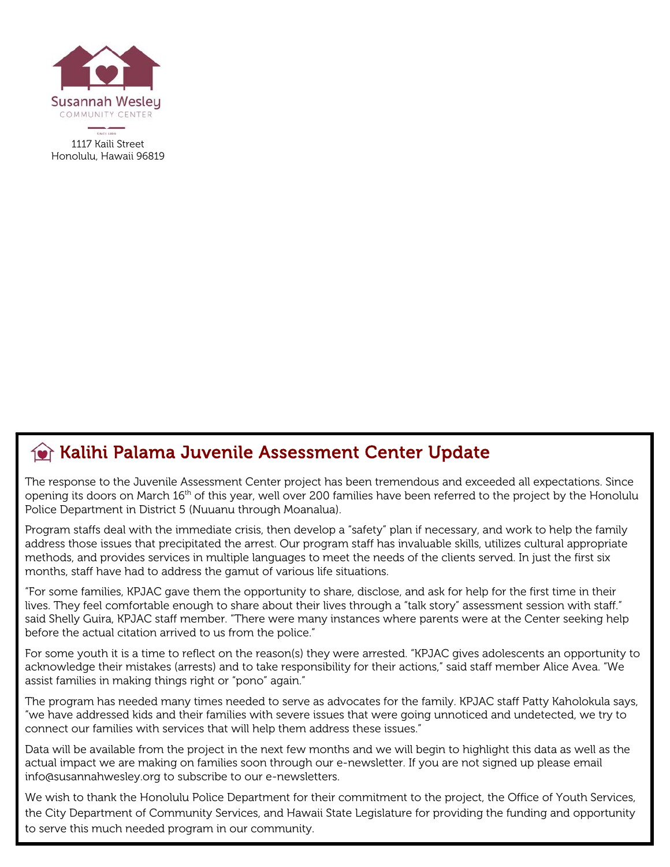

Kalihi Palama Juvenile Assessment Center Update

The response to the Juvenile Assessment Center project has been tremendous and exceeded all expectations. Since opening its doors on March 16<sup>th</sup> of this year, well over 200 families have been referred to the project by the Honolulu Police Department in District 5 (Nuuanu through Moanalua).

Program staffs deal with the immediate crisis, then develop a "safety" plan if necessary, and work to help the family address those issues that precipitated the arrest. Our program staff has invaluable skills, utilizes cultural appropriate methods, and provides services in multiple languages to meet the needs of the clients served. In just the first six months, staff have had to address the gamut of various life situations.

"For some families, KPJAC gave them the opportunity to share, disclose, and ask for help for the first time in their lives. They feel comfortable enough to share about their lives through a "talk story" assessment session with staff." said Shelly Guira, KPJAC staff member. "There were many instances where parents were at the Center seeking help before the actual citation arrived to us from the police."

For some youth it is a time to reflect on the reason(s) they were arrested. "KPJAC gives adolescents an opportunity to acknowledge their mistakes (arrests) and to take responsibility for their actions," said staff member Alice Avea. "We assist families in making things right or "pono" again."

The program has needed many times needed to serve as advocates for the family. KPJAC staff Patty Kaholokula says, "we have addressed kids and their families with severe issues that were going unnoticed and undetected, we try to connect our families with services that will help them address these issues."

Data will be available from the project in the next few months and we will begin to highlight this data as well as the actual impact we are making on families soon through our e-newsletter. If you are not signed up please email info@susannahwesley.org to subscribe to our e-newsletters.

We wish to thank the Honolulu Police Department for their commitment to the project, the Office of Youth Services, the City Department of Community Services, and Hawaii State Legislature for providing the funding and opportunity to serve this much needed program in our community.